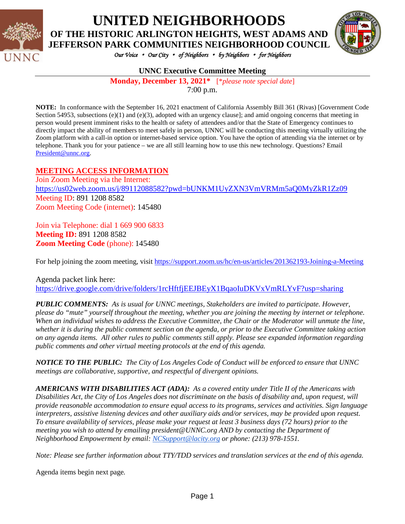

# **UNITED NEIGHBORHOODS**

**OF THE HISTORIC ARLINGTON HEIGHTS, WEST ADAMS AND JEFFERSON PARK COMMUNITIES NEIGHBORHOOD COUNCIL**



*Our Voice* • *Our City* • *of Neighbors* • *by Neighbors* • *for Neighbors* 

#### **UNNC Executive Committee Meeting**

**Monday, December 13, 2021\*** [\**please note special date*] 7:00 p.m.

**NOTE:** In conformance with the September 16, 2021 enactment of California Assembly Bill 361 (Rivas) [Government Code Section 54953, subsections  $(e)(1)$  and  $(e)(3)$ , adopted with an urgency clause]; and amid ongoing concerns that meeting in person would present imminent risks to the health or safety of attendees and/or that the State of Emergency continues to directly impact the ability of members to meet safely in person, UNNC will be conducting this meeting virtually utilizing the Zoom platform with a call-in option or internet-based service option. You have the option of attending via the internet or by telephone. Thank you for your patience – we are all still learning how to use this new technology. Questions? Email [President@unnc.org.](mailto:President@unnc.org)

#### **MEETING ACCESS INFORMATION**

Join Zoom Meeting via the Internet: <https://us02web.zoom.us/j/89112088582?pwd=bUNKM1UyZXN3VmVRMm5aQ0MyZkR1Zz09> Meeting ID: 891 1208 8582 Zoom Meeting Code (internet): 145480

Join via Telephone: dial 1 669 900 6833 **Meeting ID:** 891 1208 8582 **Zoom Meeting Code** (phone): 145480

For help joining the zoom meeting, visit<https://support.zoom.us/hc/en-us/articles/201362193-Joining-a-Meeting>

Agenda packet link here: <https://drive.google.com/drive/folders/1rcHftfjEEJBEyX1BqaoIuDKVxVmRLYvF?usp=sharing>

*PUBLIC COMMENTS: As is usual for UNNC meetings, Stakeholders are invited to participate. However, please do "mute" yourself throughout the meeting, whether you are joining the meeting by internet or telephone. When an individual wishes to address the Executive Committee, the Chair or the Moderator will unmute the line, whether it is during the public comment section on the agenda, or prior to the Executive Committee taking action on any agenda items. All other rules to public comments still apply. Please see expanded information regarding public comments and other virtual meeting protocols at the end of this agenda.*

*NOTICE TO THE PUBLIC: The City of Los Angeles Code of Conduct will be enforced to ensure that UNNC meetings are collaborative, supportive, and respectful of divergent opinions.* 

*AMERICANS WITH DISABILITIES ACT (ADA): As a covered entity under Title II of the Americans with Disabilities Act, the City of Los Angeles does not discriminate on the basis of disability and, upon request, will provide reasonable accommodation to ensure equal access to its programs, services and activities. Sign language interpreters, assistive listening devices and other auxiliary aids and/or services, may be provided upon request. To ensure availability of services, please make your request at least 3 business days (72 hours) prior to the meeting you wish to attend by emailing president@UNNC.org AND by contacting the Department of Neighborhood Empowerment by email: [NCSupport@lacity.org](mailto:NCSupport@lacity.org) or phone: (213) 978-1551.* 

*Note: Please see further information about TTY/TDD services and translation services at the end of this agenda.*

Agenda items begin next page*.*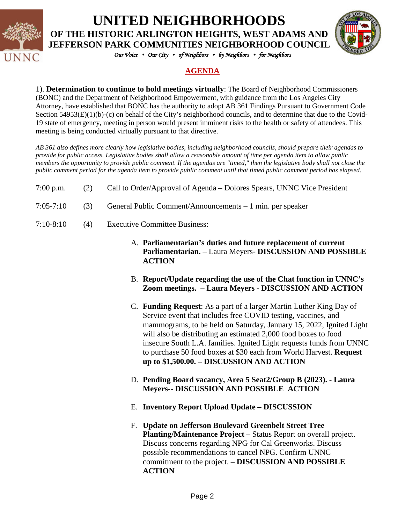

**UNITED NEIGHBORHOODS OF THE HISTORIC ARLINGTON HEIGHTS, WEST ADAMS AND** 

**JEFFERSON PARK COMMUNITIES NEIGHBORHOOD COUNCIL**



*Our Voice* • *Our City* • *of Neighbors* • *by Neighbors* • *for Neighbors* 

#### **AGENDA**

1). **Determination to continue to hold meetings virtually**: The Board of Neighborhood Commissioners (BONC) and the Department of Neighborhood Empowerment, with guidance from the Los Angeles City Attorney, have established that BONC has the authority to adopt AB 361 Findings Pursuant to Government Code Section 54953(E)(1)(b)-(c) on behalf of the City's neighborhood councils, and to determine that due to the Covid-19 state of emergency, meeting in person would present imminent risks to the health or safety of attendees. This meeting is being conducted virtually pursuant to that directive.

*AB 361 also defines more clearly how legislative bodies, including neighborhood councils, should prepare their agendas to provide for public access. Legislative bodies shall allow a reasonable amount of time per agenda item to allow public members the opportunity to provide public comment. If the agendas are "timed," then the legislative body shall not close the public comment period for the agenda item to provide public comment until that timed public comment period has elapsed.*

- 7:00 p.m. (2) Call to Order/Approval of Agenda Dolores Spears, UNNC Vice President
- 7:05-7:10 (3) General Public Comment/Announcements 1 min. per speaker
- 7:10-8:10 (4) Executive Committee Business:
	- A. **Parliamentarian's duties and future replacement of current Parliamentarian.** – Laura Meyers- **DISCUSSION AND POSSIBLE ACTION**
	- B. **Report/Update regarding the use of the Chat function in UNNC's Zoom meetings. – Laura Meyers - DISCUSSION AND ACTION**
	- C. **Funding Request**: As a part of a larger Martin Luther King Day of Service event that includes free COVID testing, vaccines, and mammograms, to be held on Saturday, January 15, 2022, Ignited Light will also be distributing an estimated 2,000 food boxes to food insecure South L.A. families. Ignited Light requests funds from UNNC to purchase 50 food boxes at \$30 each from World Harvest. **Request up to \$1,500.00. – DISCUSSION AND ACTION**
	- D. **Pending Board vacancy, Area 5 Seat2/Group B (2023). - Laura Meyers-- DISCUSSION AND POSSIBLE ACTION**
	- E. **Inventory Report Upload Update – DISCUSSION**
	- F. **Update on Jefferson Boulevard Greenbelt Street Tree Planting/Maintenance Project** – Status Report on overall project. Discuss concerns regarding NPG for Cal Greenworks. Discuss possible recommendations to cancel NPG. Confirm UNNC commitment to the project. – **DISCUSSION AND POSSIBLE ACTION**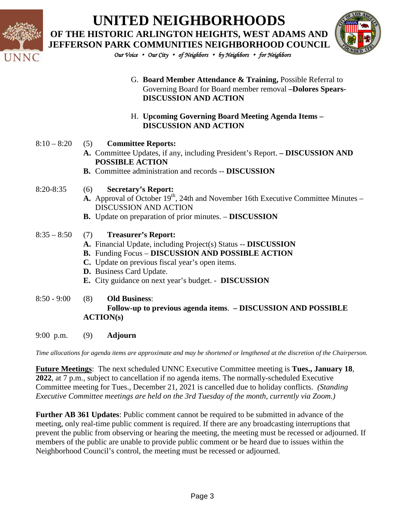

## **UNITED NEIGHBORHOODS OF THE HISTORIC ARLINGTON HEIGHTS, WEST ADAMS AND JEFFERSON PARK COMMUNITIES NEIGHBORHOOD COUNCIL**



*Our Voice* • *Our City* • *of Neighbors* • *by Neighbors* • *for Neighbors* 

- G. **Board Member Attendance & Training,** Possible Referral to Governing Board for Board member removal **–Dolores Spears-DISCUSSION AND ACTION**
- H. **Upcoming Governing Board Meeting Agenda Items – DISCUSSION AND ACTION**
- 8:10 8:20 (5) **Committee Reports:** 
	- **A.** Committee Updates, if any, including President's Report. **– DISCUSSION AND POSSIBLE ACTION**
	- **B.** Committee administration and records -- **DISCUSSION**
- 8:20-8:35 (6) **Secretary's Report:** 
	- **A.** Approval of October 19<sup>th</sup>, 24th and November 16th Executive Committee Minutes DISCUSSION AND ACTION
	- **B.** Update on preparation of prior minutes. **DISCUSSION**
- 8:35 8:50 (7) **Treasurer's Report:**
	- **A.** Financial Update, including Project(s) Status -- **DISCUSSION**
	- **B.** Funding Focus **DISCUSSION AND POSSIBLE ACTION**
	- **C.** Update on previous fiscal year's open items.
	- **D.** Business Card Update.
	- **E.** City guidance on next year's budget. - **DISCUSSION**

#### 8:50 - 9:00 (8) **Old Business**: **Follow-up to previous agenda items**. **– DISCUSSION AND POSSIBLE ACTION(s)**

9:00 p.m. (9) **Adjourn**

*Time allocations for agenda items are approximate and may be shortened or lengthened at the discretion of the Chairperson.*

**Future Meetings**: The next scheduled UNNC Executive Committee meeting is **Tues., January 18**, **2022**, at 7 p.m., subject to cancellation if no agenda items. The normally-scheduled Executive Committee meeting for Tues., December 21, 2021 is cancelled due to holiday conflicts. *(Standing Executive Committee meetings are held on the 3rd Tuesday of the month, currently via Zoom.)*

**Further AB 361 Updates**: Public comment cannot be required to be submitted in advance of the meeting, only real-time public comment is required. If there are any broadcasting interruptions that prevent the public from observing or hearing the meeting, the meeting must be recessed or adjourned. If members of the public are unable to provide public comment or be heard due to issues within the Neighborhood Council's control, the meeting must be recessed or adjourned.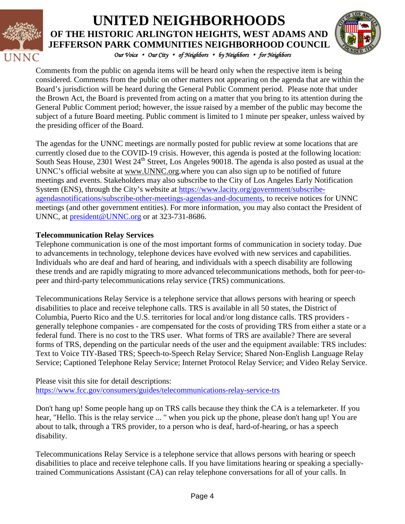

### *Our Voice* • *Our City* • *of Neighbors* • *by Neighbors* • *for Neighbors*  **UNITED NEIGHBORHOODS OF THE HISTORIC ARLINGTON HEIGHTS, WEST ADAMS AND JEFFERSON PARK COMMUNITIES NEIGHBORHOOD COUNCIL**



Comments from the public on agenda items will be heard only when the respective item is being considered. Comments from the public on other matters not appearing on the agenda that are within the Board's jurisdiction will be heard during the General Public Comment period. Please note that under the Brown Act, the Board is prevented from acting on a matter that you bring to its attention during the General Public Comment period; however, the issue raised by a member of the public may become the subject of a future Board meeting. Public comment is limited to 1 minute per speaker, unless waived by the presiding officer of the Board.

The agendas for the UNNC meetings are normally posted for public review at some locations that are currently closed due to the COVID-19 crisis. However, this agenda is posted at the following location: South Seas House, 2301 West 24<sup>th</sup> Street, Los Angeles 90018. The agenda is also posted as usual at the UNNC's official website at [www.UNNC.org.](http://www.unnc.org/)where you can also sign up to be notified of future meetings and events. Stakeholders may also subscribe to the City of Los Angeles Early Notification System (ENS), through the City's website at [https://www.lacity.org/government/subscribe](https://www.lacity.org/government/subscribe-agendasnotifications/subscribe-other-meetings-agendas-and-documents)[agendasnotifications/subscribe-other-meetings-agendas-and-documents,](https://www.lacity.org/government/subscribe-agendasnotifications/subscribe-other-meetings-agendas-and-documents) to receive notices for UNNC meetings (and other government entities). For more information, you may also contact the President of UNNC, at [president@UNNC.org](mailto:president@UNNC.org) or at 323-731-8686.

#### **Telecommunication Relay Services**

Telephone communication is one of the most important forms of communication in society today. Due to advancements in technology, telephone devices have evolved with new services and capabilities. Individuals who are deaf and hard of hearing, and individuals with a speech disability are following these trends and are rapidly migrating to more advanced telecommunications methods, both for peer-topeer and third-party telecommunications relay service (TRS) communications.

Telecommunications Relay Service is a telephone service that allows persons with hearing or speech disabilities to place and receive telephone calls. TRS is available in all 50 states, the District of Columbia, Puerto Rico and the U.S. territories for local and/or long distance calls. TRS providers generally telephone companies - are compensated for the costs of providing TRS from either a state or a federal fund. There is no cost to the TRS user. What forms of TRS are available? There are several forms of TRS, depending on the particular needs of the user and the equipment available: TRS includes: Text to Voice TIY-Based TRS; Speech-to-Speech Relay Service; Shared Non-English Language Relay Service; Captioned Telephone Relay Service; Internet Protocol Relay Service; and Video Relay Service.

Please visit this site for detail descriptions: <https://www.fcc.gov/consumers/guides/telecommunications-relay-service-trs>

Don't hang up! Some people hang up on TRS calls because they think the CA is a telemarketer. If you hear, "Hello. This is the relay service ... " when you pick up the phone, please don't hang up! You are about to talk, through a TRS provider, to a person who is deaf, hard-of-hearing, or has a speech disability.

Telecommunications Relay Service is a telephone service that allows persons with hearing or speech disabilities to place and receive telephone calls. If you have limitations hearing or speaking a speciallytrained Communications Assistant (CA) can relay telephone conversations for all of your calls. In